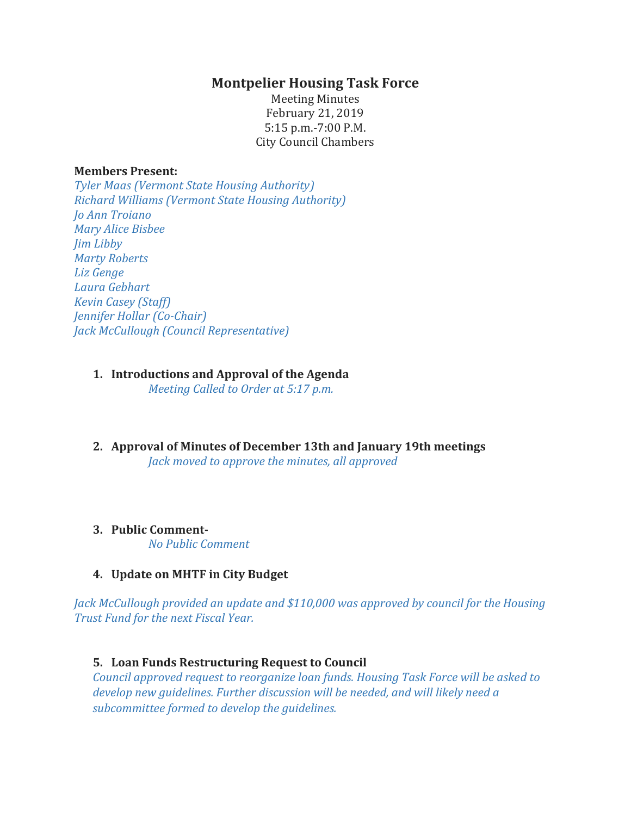# **Montpelier Housing Task Force**

Meeting Minutes February 21, 2019 5:15 p.m.-7:00 P.M. City Council Chambers

#### **Members Present:**

*Tyler Maas (Vermont State Housing Authority) Richard Williams (Vermont State Housing Authority) Jo Ann Troiano Mary Alice Bisbee Jim Libby Marty Roberts Liz Genge Laura Gebhart Kevin Casey (Staff) Jennifer Hollar (Co-Chair) Jack McCullough (Council Representative)*

## **1. Introductions and Approval of the Agenda**

*Meeting Called to Order at 5:17 p.m.*

**2. Approval of Minutes of December 13th and January 19th meetings** *Jack moved to approve the minutes, all approved*

## **3. Public Comment-**

*No Public Comment*

## **4. Update on MHTF in City Budget**

*Jack McCullough provided an update and \$110,000 was approved by council for the Housing Trust Fund for the next Fiscal Year.* 

#### **5. Loan Funds Restructuring Request to Council**

*Council approved request to reorganize loan funds. Housing Task Force will be asked to develop new guidelines. Further discussion will be needed, and will likely need a subcommittee formed to develop the guidelines.*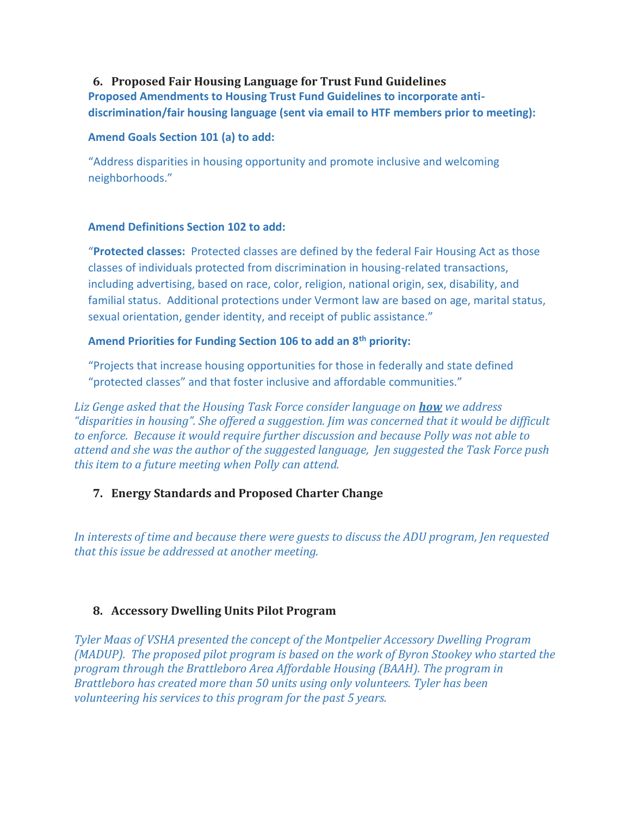### **6. Proposed Fair Housing Language for Trust Fund Guidelines**

**Proposed Amendments to Housing Trust Fund Guidelines to incorporate antidiscrimination/fair housing language (sent via email to HTF members prior to meeting):** 

#### **Amend Goals Section 101 (a) to add:**

"Address disparities in housing opportunity and promote inclusive and welcoming neighborhoods."

### **Amend Definitions Section 102 to add:**

"**Protected classes:** Protected classes are defined by the federal Fair Housing Act as those classes of individuals protected from discrimination in housing-related transactions, including advertising, based on race, color, religion, national origin, sex, disability, and familial status. Additional protections under Vermont law are based on age, marital status, sexual orientation, gender identity, and receipt of public assistance."

### **Amend Priorities for Funding Section 106 to add an 8th priority:**

"Projects that increase housing opportunities for those in federally and state defined "protected classes" and that foster inclusive and affordable communities."

*Liz Genge asked that the Housing Task Force consider language on how we address "disparities in housing". She offered a suggestion. Jim was concerned that it would be difficult to enforce. Because it would require further discussion and because Polly was not able to attend and she was the author of the suggested language, Jen suggested the Task Force push this item to a future meeting when Polly can attend.* 

# **7. Energy Standards and Proposed Charter Change**

*In interests of time and because there were guests to discuss the ADU program, Jen requested that this issue be addressed at another meeting.* 

## **8. Accessory Dwelling Units Pilot Program**

*Tyler Maas of VSHA presented the concept of the Montpelier Accessory Dwelling Program (MADUP). The proposed pilot program is based on the work of Byron Stookey who started the program through the Brattleboro Area Affordable Housing (BAAH). The program in Brattleboro has created more than 50 units using only volunteers. Tyler has been volunteering his services to this program for the past 5 years.*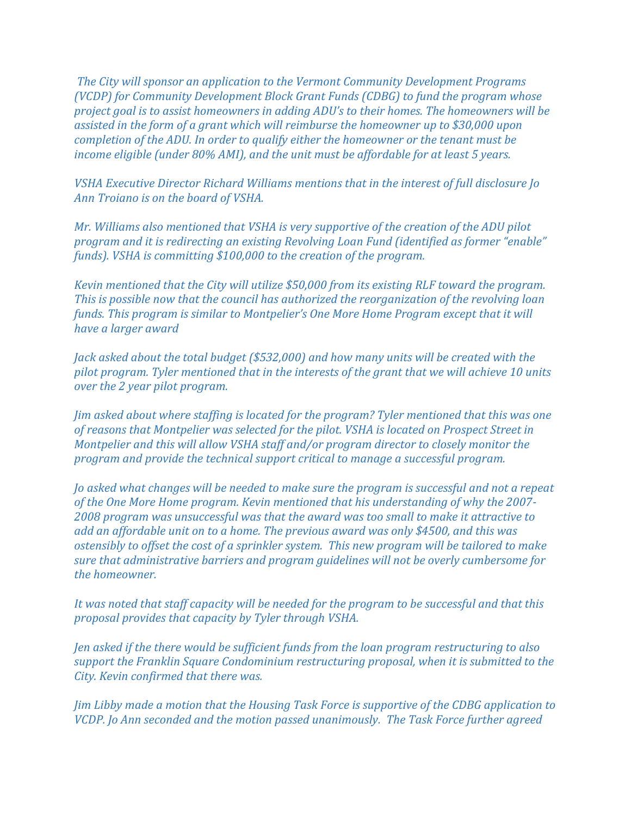*The City will sponsor an application to the Vermont Community Development Programs (VCDP) for Community Development Block Grant Funds (CDBG) to fund the program whose project goal is to assist homeowners in adding ADU's to their homes. The homeowners will be assisted in the form of a grant which will reimburse the homeowner up to \$30,000 upon completion of the ADU. In order to qualify either the homeowner or the tenant must be income eligible (under 80% AMI), and the unit must be affordable for at least 5 years.* 

*VSHA Executive Director Richard Williams mentions that in the interest of full disclosure Jo Ann Troiano is on the board of VSHA.*

*Mr. Williams also mentioned that VSHA is very supportive of the creation of the ADU pilot program and it is redirecting an existing Revolving Loan Fund (identified as former "enable" funds). VSHA is committing \$100,000 to the creation of the program.*

*Kevin mentioned that the City will utilize \$50,000 from its existing RLF toward the program. This is possible now that the council has authorized the reorganization of the revolving loan funds. This program is similar to Montpelier's One More Home Program except that it will have a larger award* 

*Jack asked about the total budget (\$532,000) and how many units will be created with the pilot program. Tyler mentioned that in the interests of the grant that we will achieve 10 units over the 2 year pilot program.* 

*Jim asked about where staffing is located for the program? Tyler mentioned that this was one of reasons that Montpelier was selected for the pilot. VSHA is located on Prospect Street in Montpelier and this will allow VSHA staff and/or program director to closely monitor the program and provide the technical support critical to manage a successful program.* 

*Jo asked what changes will be needed to make sure the program is successful and not a repeat of the One More Home program. Kevin mentioned that his understanding of why the 2007- 2008 program was unsuccessful was that the award was too small to make it attractive to add an affordable unit on to a home. The previous award was only \$4500, and this was ostensibly to offset the cost of a sprinkler system. This new program will be tailored to make sure that administrative barriers and program guidelines will not be overly cumbersome for the homeowner.* 

*It was noted that staff capacity will be needed for the program to be successful and that this proposal provides that capacity by Tyler through VSHA.* 

*Jen asked if the there would be sufficient funds from the loan program restructuring to also support the Franklin Square Condominium restructuring proposal, when it is submitted to the City. Kevin confirmed that there was.*

*Jim Libby made a motion that the Housing Task Force is supportive of the CDBG application to VCDP. Jo Ann seconded and the motion passed unanimously. The Task Force further agreed*